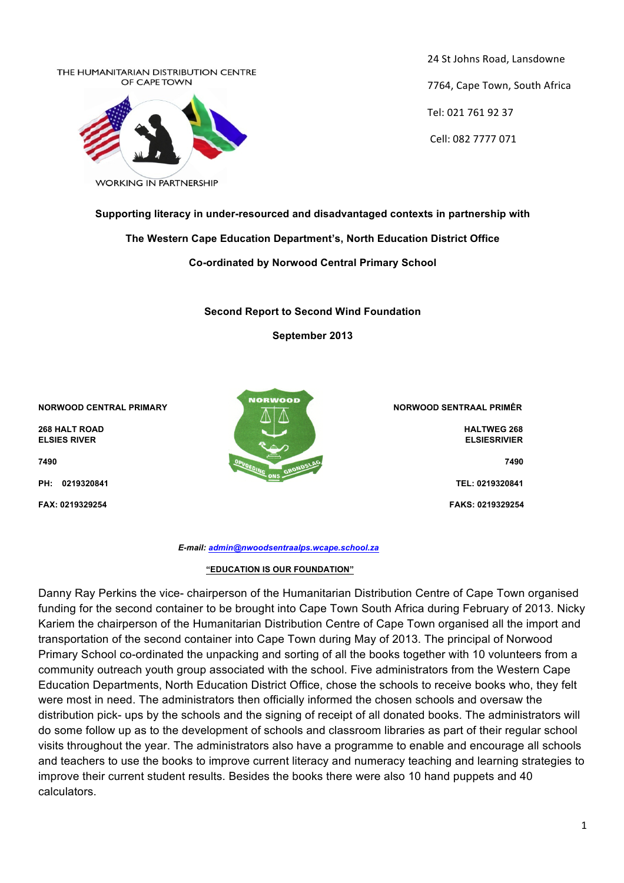

24 St Johns Road, Lansdowne 7764, Cape Town, South Africa Tel: 021 761 92 37 Cell: 082 7777 071

**Supporting literacy in under-resourced and disadvantaged contexts in partnership with** 

## **The Western Cape Education Department's, North Education District Office**

**Co-ordinated by Norwood Central Primary School**

**Second Report to Second Wind Foundation**

**September 2013**

**NORWOOD CENTRAL PRIMARY NORWOOD SENTRAAL PRIMÊR** 



**FAX: 0219329254****FAKS: 0219329254**

 *E-mail: admin@nwoodsentraalps.wcape.school.za*

## **"EDUCATION IS OUR FOUNDATION"**

Danny Ray Perkins the vice- chairperson of the Humanitarian Distribution Centre of Cape Town organised funding for the second container to be brought into Cape Town South Africa during February of 2013. Nicky Kariem the chairperson of the Humanitarian Distribution Centre of Cape Town organised all the import and transportation of the second container into Cape Town during May of 2013. The principal of Norwood Primary School co-ordinated the unpacking and sorting of all the books together with 10 volunteers from a community outreach youth group associated with the school. Five administrators from the Western Cape Education Departments, North Education District Office, chose the schools to receive books who, they felt were most in need. The administrators then officially informed the chosen schools and oversaw the distribution pick- ups by the schools and the signing of receipt of all donated books. The administrators will do some follow up as to the development of schools and classroom libraries as part of their regular school visits throughout the year. The administrators also have a programme to enable and encourage all schools and teachers to use the books to improve current literacy and numeracy teaching and learning strategies to improve their current student results. Besides the books there were also 10 hand puppets and 40 calculators.